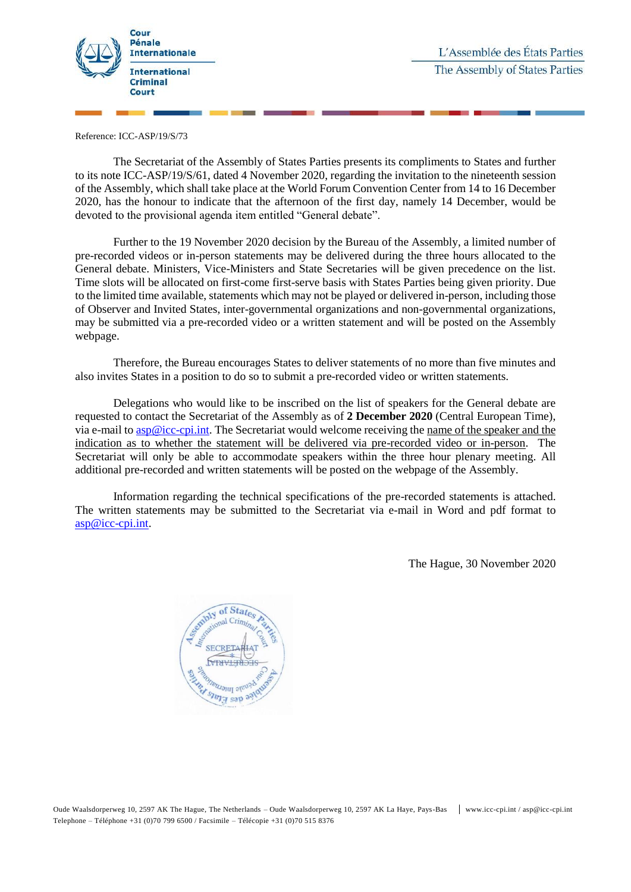

Reference: ICC-ASP/19/S/73

The Secretariat of the Assembly of States Parties presents its compliments to States and further to its note ICC-ASP/19/S/61, dated 4 November 2020, regarding the invitation to the nineteenth session of the Assembly, which shall take place at the World Forum Convention Center from 14 to 16 December 2020, has the honour to indicate that the afternoon of the first day, namely 14 December, would be devoted to the provisional agenda item entitled "General debate".

Further to the 19 November 2020 decision by the Bureau of the Assembly, a limited number of pre-recorded videos or in-person statements may be delivered during the three hours allocated to the General debate. Ministers, Vice-Ministers and State Secretaries will be given precedence on the list. Time slots will be allocated on first-come first-serve basis with States Parties being given priority. Due to the limited time available, statements which may not be played or delivered in-person, including those of Observer and Invited States, inter-governmental organizations and non-governmental organizations, may be submitted via a pre-recorded video or a written statement and will be posted on the Assembly webpage.

Therefore, the Bureau encourages States to deliver statements of no more than five minutes and also invites States in a position to do so to submit a pre-recorded video or written statements.

Delegations who would like to be inscribed on the list of speakers for the General debate are requested to contact the Secretariat of the Assembly as of **2 December 2020** (Central European Time), via e-mail to [asp@icc-cpi.int.](mailto:asp@icc-cpi.int) The Secretariat would welcome receiving the name of the speaker and the indication as to whether the statement will be delivered via pre-recorded video or in-person. The Secretariat will only be able to accommodate speakers within the three hour plenary meeting. All additional pre-recorded and written statements will be posted on the webpage of the Assembly.

Information regarding the technical specifications of the pre-recorded statements is attached. The written statements may be submitted to the Secretariat via e-mail in Word and pdf format to [asp@icc-cpi.int.](mailto:asp@icc-cpi.int)

The Hague, 30 November 2020

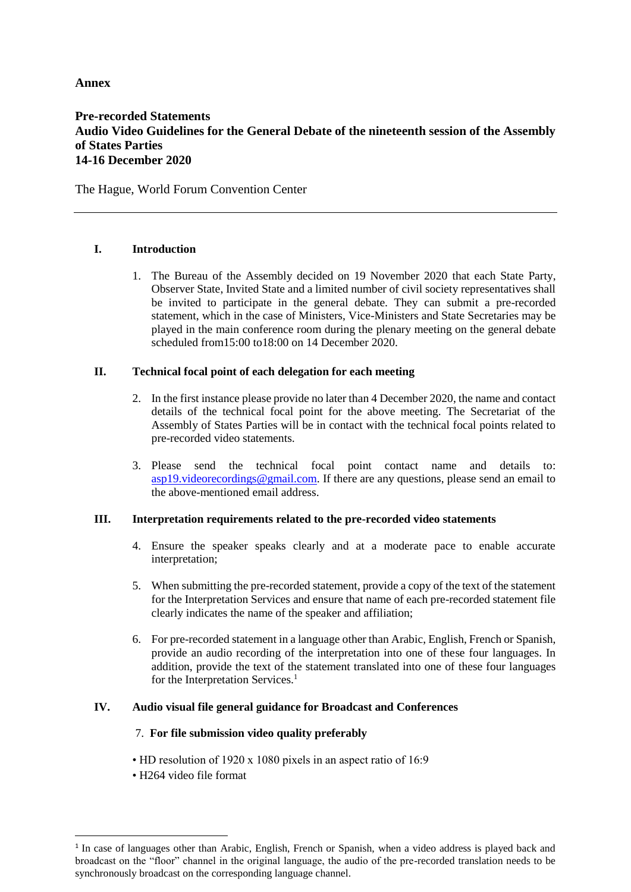# **Annex**

# **Pre-recorded Statements Audio Video Guidelines for the General Debate of the nineteenth session of the Assembly of States Parties 14-16 December 2020**

The Hague, World Forum Convention Center

## **I. Introduction**

1. The Bureau of the Assembly decided on 19 November 2020 that each State Party, Observer State, Invited State and a limited number of civil society representatives shall be invited to participate in the general debate. They can submit a pre-recorded statement, which in the case of Ministers, Vice-Ministers and State Secretaries may be played in the main conference room during the plenary meeting on the general debate scheduled from15:00 to18:00 on 14 December 2020.

## **II. Technical focal point of each delegation for each meeting**

- 2. In the first instance please provide no later than 4 December 2020, the name and contact details of the technical focal point for the above meeting. The Secretariat of the Assembly of States Parties will be in contact with the technical focal points related to pre-recorded video statements.
- 3. Please send the technical focal point contact name and details to: [asp19.videorecordings@gmail.com.](mailto:asp19.videorecordings@gmail.com) If there are any questions, please send an email to the above-mentioned email address.

#### **III. Interpretation requirements related to the pre-recorded video statements**

- 4. Ensure the speaker speaks clearly and at a moderate pace to enable accurate interpretation;
- 5. When submitting the pre-recorded statement, provide a copy of the text of the statement for the Interpretation Services and ensure that name of each pre-recorded statement file clearly indicates the name of the speaker and affiliation;
- 6. For pre-recorded statement in a language other than Arabic, English, French or Spanish, provide an audio recording of the interpretation into one of these four languages. In addition, provide the text of the statement translated into one of these four languages for the Interpretation Services.<sup>1</sup>

#### **IV. Audio visual file general guidance for Broadcast and Conferences**

#### 7. **For file submission video quality preferably**

- HD resolution of 1920 x 1080 pixels in an aspect ratio of 16:9
- H264 video file format

 $\overline{a}$ 

<sup>&</sup>lt;sup>1</sup> In case of languages other than Arabic, English, French or Spanish, when a video address is played back and broadcast on the "floor" channel in the original language, the audio of the pre-recorded translation needs to be synchronously broadcast on the corresponding language channel.